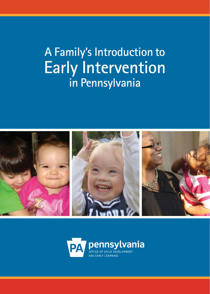# **A Family's Introduction to Early Intervention in Pennsylvania**



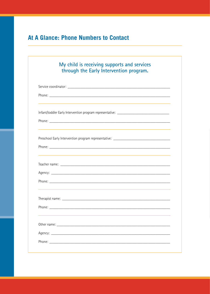# At A Glance: Phone Numbers to Contact

| My child is receiving supports and services<br>through the Early Intervention program.                                                                                                                                         |
|--------------------------------------------------------------------------------------------------------------------------------------------------------------------------------------------------------------------------------|
|                                                                                                                                                                                                                                |
|                                                                                                                                                                                                                                |
| Infant/toddler Early Intervention program representative: _______________________                                                                                                                                              |
|                                                                                                                                                                                                                                |
| Preschool Early Intervention program representative: ____________________________                                                                                                                                              |
|                                                                                                                                                                                                                                |
|                                                                                                                                                                                                                                |
|                                                                                                                                                                                                                                |
|                                                                                                                                                                                                                                |
|                                                                                                                                                                                                                                |
| Other name: the contract of the contract of the contract of the contract of the contract of the contract of the contract of the contract of the contract of the contract of the contract of the contract of the contract of th |
|                                                                                                                                                                                                                                |
|                                                                                                                                                                                                                                |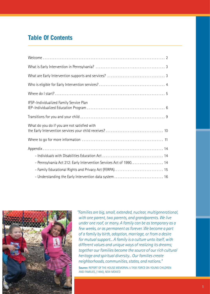## **Table Of Contents**

| IFSP-Individualized Family Service Plan                             |  |
|---------------------------------------------------------------------|--|
|                                                                     |  |
| What do you do if you are not satisfied with                        |  |
|                                                                     |  |
|                                                                     |  |
|                                                                     |  |
| - Pennsylvania Act 212: Early Intervention Services Act of 1990. 14 |  |
|                                                                     |  |
| - Understanding the Early Intervention data system  16              |  |



*"Families are big, small, extended, nuclear, multigenerational, with one parent, two parents, and grandparents. We live under one roof, or many. A family can be as temporary as a few weeks, or as permanent as forever. We become a part of a family by birth, adoption, marriage, or from a desire for mutual support... A family is a culture unto itself, with different values and unique ways of realizing its dreams; together our families become the source of our rich cultural heritage and spiritual diversity... Our families create neighborhoods, communities, states, and nations."* **Source:** REPORT OF THE HOUSE MEMORIAL 5 TASK FORCE ON YOUNG CHILDREN AND FAMILIES, (1990), NEW MEXICO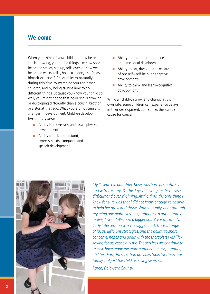### **Welcome**

When you think of your child and how he or she is growing, you notice things like how soon he or she smiles, sits up, rolls over, or how well he or she walks, talks, holds a spoon, and feeds himself or herself. Children learn naturally during this time by watching you and other children, and by being taught how to do different things. Because you know your child so well, you might notice that he or she is growing or developing differently than a cousin, brother or sister at that age. What you are noticing are changes in development. Children develop in five primary areas:

- $\blacksquare$  Ability to move, see, and hear-physical development
- $\blacksquare$  Ability to talk, understand, and express needs—language and speech development
- Ability to relate to others–social and emotional development
- $\blacksquare$  Ability to eat, dress, and take care of oneself—self help (or adaptive development)
- $\blacksquare$  Ability to think and learn-cognitive development

While all children grow and change at their own rate, some children can experience delays in their development. Sometimes this can be cause for concern.



*My 2-year-old daughter, Rose, was born prematurely and with Trisomy 21. The days following her birth were difficult and overwhelming. At the time, the only thing I knew for sure was that I did not know enough to be able to help her grow and thrive. What actually went through my mind one night was - to paraphrase a quote from the movie, Jaws – "We need a bigger boat!" For my family, Early Intervention was the bigger boat. The exchange of ideas, different strategies, and the ability to share concerns, hopes and goals with the therapists was lifesaving for us, especially me. The services we continue to receive have made me more confident in my parenting abilities. Early Intervention provides tools for the entire family, not just the child receiving services.* 

*Karen, Delaware County*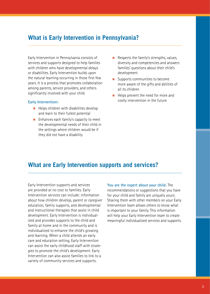### **What is Early Intervention in Pennsylvania?**

Early Intervention in Pennsylvania consists of services and supports designed to help families with children who have developmental delays or disabilities. Early Intervention builds upon the natural learning occurring in those first few years. It is a process that promotes collaboration among parents, service providers, and others significantly involved with your child.

### **Early Intervention:**

- $\blacksquare$  Helps children with disabilities develop and learn to their fullest potential
- $\blacksquare$  Enhances each family's capacity to meet the developmental needs of their child in the settings where children would be if they did not have a disability
- $\blacksquare$  Respects the family's strengths, values, diversity and competencies and answers families' questions about their child's development
- $\blacksquare$  Supports communities to become more aware of the gifts and abilities of all its children
- $\blacksquare$  Helps prevent the need for more and costly intervention in the future

### **What are Early Intervention supports and services?**

Early Intervention supports and services are provided at no cost to families. Early Intervention services can include: information about how children develop, parent or caregiver education, family supports, and developmental and instructional therapies that assist in child development. Early Intervention is individualized and provides supports to the child and family at home and in the community and is individualized to enhance the child's growing and learning. When a child attends an early care and education setting, Early Intervention can assist the early childhood staff with strategies to promote the child's development. Early Intervention can also assist families to link to a variety of community services and supports.

**You are the expert about your child.** The recommendations or suggestions that you have for your child and family are uniquely yours. Sharing them with other members on your Early Intervention team allows others to know what is important to your family. This information will help your Early Intervention team to create meaningful individualized services and supports.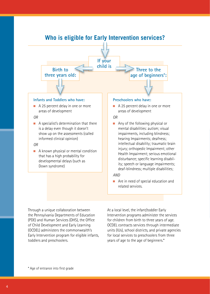# **Who is eligible for Early Intervention services?**



### **Infants and Toddlers who have:**

 $\blacksquare$  A 25 percent delay in one or more areas of development

### *OR*

 $\blacksquare$  A specialist's determination that there is a delay even though it doesn't show up on the assessments (called informed clinical opinion)

### *OR*

 $\blacksquare$  A known physical or mental condition that has a high probability for developmental delays (such as Down syndrome)

### **Preschoolers who have:**

 $\blacksquare$  A 25 percent delay in one or more areas of development

### *OR*

 $\blacksquare$  Any of the following physical or mental disabilities: autism; visual impairments, including blindness; hearing Impairments; deafness; intellectual disability; traumatic brain injury; orthopedic Impairment; other Health Impairment; serious emotional disturbance; specific learning disability; speech or language impairments; deaf-blindness; multiple disabilities;

### *AND*

n Are in need of special education and related services.

Through a unique collaboration between the Pennsylvania Departments of Education (PDE) and Human Services (DHS), the Office of Child Development and Early Learning (OCDEL) administers the commonwealth's Early Intervention program for eligible infants, toddlers and preschoolers.

At a local level, the infant/toddler Early Intervention programs administer the services for children from birth to three years of age. OCDEL contracts services through intermediate units (IUs), school districts, and private agencies for local services to preschoolers from three years of age to the age of beginners.\*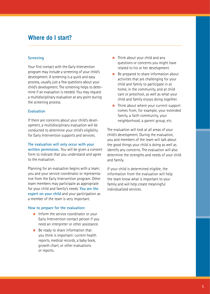### **Where do I start?**

### **Screening**

Your first contact with the Early Intervention program may include a screening of your child's development. A screening is a quick and easy process, usually just a few questions about your child's development. The screening helps to determine if an evaluation is needed. You may request a multidisciplinary evaluation at any point during the screening process.

### **Evaluation**

If there are concerns about your child's development, a multidisciplinary evaluation will be conducted to determine your child's eligibility for Early Intervention supports and services.

**The evaluation will only occur with your written permission.** You will be given a consent form to indicate that you understand and agree to the evaluation.

Planning for an evaluation begins with a team; you and your service coordinator or representative from the Early Intervention program. Other team members may participate as appropriate for your child and family's needs. **You are the expert on your child** and your participation as a member of the team is very important.

### **How to prepare for the evaluation:**

- $\blacksquare$  Inform the service coordinator or your Early Intervention contact person if you need an interpreter or other assistance.
- $\blacksquare$  Be ready to share information that you think is important: current health reports, medical records, a baby book, growth chart, or other evaluations or reports.
- $\blacksquare$  Think about your child and any questions or concerns you might have related to his or her development.
- **Be prepared to share information about** activities that are challenging for your child and family to participate in at home, in the community, and at child care or preschool, as well as what your child and family enjoys doing together.
- $\blacksquare$  Think about where your current support comes from, for example, your extended family, a faith community, your neighborhood, a parent group, etc.

The evaluation will look at all areas of your child's development. During the evaluation, you and members of the team will talk about the good things your child is doing as well as identify any concerns. The evaluation will also determine the strengths and needs of your child and family.

If your child is determined eligible, the information from the evaluation will help the team know what is important to your family and will help create meaningful individualized services.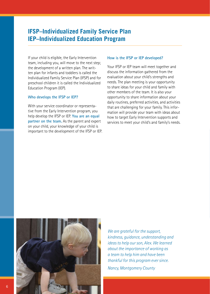### **IFSP–Individualized Family Service Plan IEP–Individualized Education Program**

If your child is eligible, the Early Intervention team, including you, will move to the next step; the development of a written plan. The written plan for infants and toddlers is called the Individualized Family Service Plan (IFSP) and for preschool children it is called the Individualized Education Program (IEP).

### **Who develops the IFSP or IEP?**

With your service coordinator or representative from the Early Intervention program, you help develop the IFSP or IEP. **You are an equal partner on the team.** As the parent and expert on your child, your knowledge of your child is important to the development of the IFSP or IEP.

#### **How is the IFSP or IEP developed?**

Your IFSP or IEP team will meet together and discuss the information gathered from the evaluation about your child's strengths and needs. The plan meeting is your opportunity to share ideas for your child and family with other members of the team. It is also your opportunity to share information about your daily routines, preferred activities, and activities that are challenging for your family. This information will provide your team with ideas about how to target Early Intervention supports and services to meet your child's and family's needs.



*We are grateful for the support, kindness, guidance, understanding and ideas to help our son, Alex. We learned about the importance of working as a team to help him and have been thankful for this program ever since. Nancy, Montgomery County*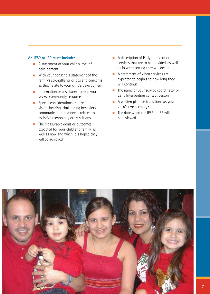### **An IFSP or IEP must include:**

- A statement of your child's level of development
- $\blacksquare$  With your consent, a statement of the family's strengths, priorities and concerns as they relate to your child's development
- $\blacksquare$  Information or assistance to help you access community resources
- $\blacksquare$  Special considerations that relate to vision, hearing, challenging behaviors, communication and needs related to assistive technology or transitions
- $\blacksquare$  The measurable goals or outcomes expected for your child and family, as well as how and when it is hoped they will be achieved
- $\blacksquare$  A description of Early Intervention services that are to be provided, as well as in what setting they will occur
- $\blacksquare$  A statement of when services are expected to begin and how long they will continue
- $\blacksquare$  The name of your service coordinator or Early Intervention contact person
- $\blacksquare$  A written plan for transitions as your child's needs change
- $\blacksquare$  The date when the IFSP or IEP will be reviewed

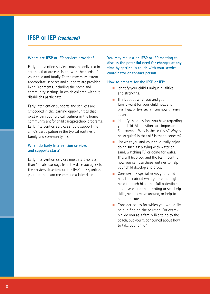### **IFSP or IEP** *(continued)*

#### **Where are IFSP or IEP services provided?**

Early Intervention services must be delivered in settings that are consistent with the needs of your child and family. To the maximum extent appropriate, services and supports are provided in environments, including the home and community settings, in which children without disabilities participate.

Early Intervention supports and services are embedded in the learning opportunities that exist within your typical routines in the home, community and/or child care/preschool programs. Early Intervention services should support the child's participation in the typical routines of family and community life.

### **When do Early Intervention services and supports start?**

Early Intervention services must start no later than 14 calendar days from the date you agree to the services described on the IFSP or IEP, unless you and the team recommend a later date.

**You may request an IFSP or IEP meeting to discuss the potential need for changes at any time by getting in touch with your service coordinator or contact person.**

#### **How to prepare for the IFSP or IEP:**

- $\blacksquare$  Identify your child's unique qualities and strengths.
- $\blacksquare$  Think about what you and your family want for your child now, and in one, two, or five years from now or even as an adult.
- $\blacksquare$  Identify the questions you have regarding your child. All questions are important. For example: Why is she so fussy? Why is he so quiet? Is that ok? Is that a concern?
- $\blacksquare$  List what you and your child really enjoy doing such as: playing with water or sand, watching TV, or going for walks. This will help you and the team identify how you can use these routines to help your child develop and grow.
- **n** Consider the special needs your child has. Think about what your child might need to reach his or her full potential: adaptive equipment, feeding or self-help skills, help to move around, or help to communicate.
- $\blacksquare$  Consider issues for which you would like help in finding the solution. For example, do you as a family like to go to the beach, but you're concerned about how to take your child?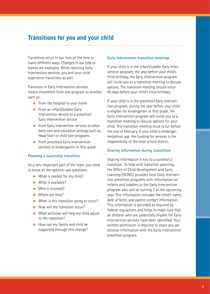### **Transitions for you and your child**

Transitions occur in our lives all the time in many different ways. Changes in our jobs or homes are examples. While receiving Early Intervention services, you and your child experience transitions as well.

Transition in Early Intervention services means movement from one program to another, such as:

- $\blacksquare$  From the hospital to your home
- From an infant/toddler Early Intervention service to a preschool Early Intervention service
- **n** From Early Intervention services to other early care and education settings such as Head Start or child care programs
- From preschool Early Intervention services to kindergarten or first grade

### **Planning a successful transition**

As a very important part of the team, you need to know all the options—ask questions:

- $\blacksquare$  What is needed for my child?
- $\blacksquare$  What is available?
- $\blacksquare$  Who is involved?
- $\blacksquare$  Where are they?
- $\blacksquare$  When is this transition going to occur?
- $\blacksquare$  How will the transition occur?
- $\blacksquare$  What activities will help my child adjust to the transition?
- $\blacksquare$  How can my family and child be supported through this change?

### **Early Intervention transition meetings**

If your child is in the infant/toddler Early Intervention program, the year before your child's third birthday, the Early Intervention program will invite you to a transition meeting to discuss options. The transition meeting should occur 90 days before your child's third birthday.

If your child is in the preschool Early Intervention program, during the year before your child is eligible for kindergarten or first grade, the Early Intervention program will invite you to a transition meeting to discuss options for your child. This transition meeting must occur before the end of February. If your child is kindergarten/school age, the funding for services is the responsibility of the local school district.

### **Sharing information during transitions**

Sharing information is key to a successful transition. To help with transition planning, the Office of Child Development and Early Learning (OCDEL) provides local Early Intervention preschool programs with information on infants and toddlers in the Early Intervention program who will be turning 3 in the upcoming year. This information includes the child's name, date of birth, and parent contact information. This information is provided as required by federal regulations and helps to make sure that all children who are potentially eligible for Early Intervention services have been identified. Your written permission is required to share any additional information with the Early Intervention preschool program.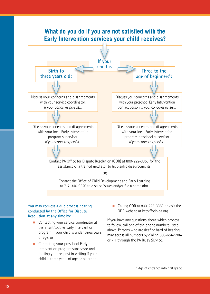

### **You may request a due process hearing conducted by the Office for Dispute Resolution at any time by:**

- Contacting your service coordinator at the infant/toddler Early Intervention program if your child is under three years of age; or
- **n** Contacting your preschool Early Intervention program supervisor and putting your request in writing if your child is three years of age or older; or

■ Calling ODR at 800-222-3353 or visit the ODR website at http://odr-pa.org.

If you have any questions about which process to follow, call one of the phone numbers listed above. Persons who are deaf or hard of hearing may access all numbers by dialing 800-654-5984 or 711 through the PA Relay Service.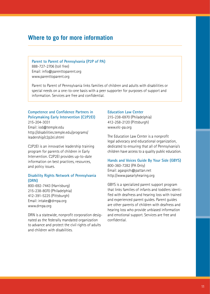### **Where to go for more information**

**Parent to Parent of Pennsylvania (P2P of PA)** 888-727-2706 (toll free) Email: info@parenttoparent.org www.parenttoparent.org

Parent to Parent of Pennsylvania links families of children and adults with disabilities or special needs on a one-to-one basis with a peer supporter for purposes of support and information. Services are free and confidential.

### **Competence and Confidence Partners in Policymaking Early Intervention (C2P2EI)** 215-204-3031

Email: iod@temple.edu http://disabilities.temple.edu/programs/ leadership/c2p2ei.shtml

C2P2EI is an innovative leadership training program for parents of children in Early Intervention. C2P2EI provides up-to-date information on best practices, resources, and policy issues.

### **Disability Rights Network of Pennsylvania (DRN)**

800-692-7443 (Harrisburg) 215-238-8070 (Philadelphia) 412-391-5225 (Pittsburgh) Email: intake@drnpa.org www.drnpa.org

DRN is a statewide, nonprofit corporation designated as the federally mandated organization to advance and protect the civil rights of adults and children with disabilities.

#### **Education Law Center**

215-238-6970 (Philadelphia) 412-258-2120 (Pittsburgh) www.elc-pa.org

The Education Law Center is a nonprofit legal advocacy and educational organization, dedicated to ensuring that all of Pennsylvania's children have access to a quality public education.

**Hands and Voices Guide By Your Side (GBYS)** 800-360-7282 (PA Only) Email: agaspich@pattan.net http://www.paearlyhearing.org

GBYS is a specialized parent support program that links families of infants and toddlers identified with deafness and hearing loss with trained and experienced parent guides. Parent guides are other parents of children with deafness and hearing loss who provide unbiased information and emotional support. Services are free and confidential.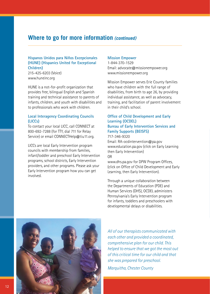### **Where to go for more information** *(continued)*

### **Hispanos Unidos para Niños Excepcionales (HUNE) (Hispanics United for Exceptional Children)**

215-425-6203 (Voice) www.huneinc.org

HUNE is a not-for-profit organization that provides free, bilingual English and Spanish training and technical assistance to parents of infants, children, and youth with disabilities and to professionals who work with children.

### **Local Interagency Coordinating Councils (LICCs)**

To contact your local LICC, call CONNECT at 800-692-7288 (for TTY, dial 711 for Relay Service) or email CONNECTHelp@tiu11.org.

LICCs are local Early Intervention program councils with membership from families, infant/toddler and preschool Early Intervention programs, school districts, Early Intervention providers, and other programs. Please ask your Early Intervention program how you can get involved.

### **Mission Empower**

1-844-370-1529 Email: advocate@missionempower.org www.missionempower.org

Mission Empower serves Erie County families who have children with the full range of disabilities, from birth to age 26, by providing individual assistance, as well as advocacy, training, and facilitation of parent involvement in their child's school.

### **Office of Child Development and Early Learning (OCDEL) Bureau of Early Intervention Services and Family Supports (BEISFS)**

717-346-9320

Email: RA-ocdintervention@pa.gov www.education.pa.gov (click on Early Learning then Early Intervention) OR

www.dhs.pa.gov for DPW Program Offices, (click on Office of Child Development and Early Learning, then Early Intervention).

Through a unique collaboration between the Departments of Education (PDE) and Human Services (DHS), OCDEL administers Pennsylvania's Early Intervention program for infants, toddlers and preschoolers with developmental delays or disabilities.



*All of our therapists communicated with each other and provided a coordinated, comprehensive plan for our child. This helped to ensure that we got the most out of this critical time for our child and that she was prepared for preschool.* 

*Marquitha, Chester County*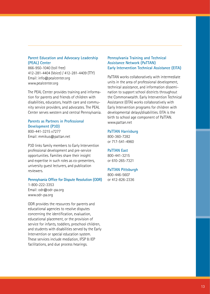### **Parent Education and Advocacy Leadership (PEAL) Center**

866-950-1040 (toll free) 412-281-4404 (Voice) / 412-281-4409 (TTY) Email: info@pealcenter.org www.pealcenter.org

The PEAL Center provides training and information for parents and friends of children with disabilities, educators, health care and community service providers, and advocates. The PEAL Center serves western and central Pennsylvania.

### **Parents as Partners in Professional Development (P3D)**

800-441-3215 x7277 Email: mmikus@pattan.net

P3D links family members to Early Intervention professional development and pre-service opportunities. Families share their insight and expertise in such roles as co-presenters, university guest lecturers, and publication reviewers.

#### **Pennsylvania Office for Dispute Resolution (ODR)**

1-800-222-3353 Email: odr@odr-pa.org www.odr-pa.org

ODR provides the resources for parents and educational agencies to resolve disputes concerning the identification, evaluation, educational placement, or the provision of service for infants, toddlers, preschool children, and students with disabilities served by the Early Intervention or special education system. These services include mediation, IFSP & IEP facilitations, and due process hearings.

### **Pennsylvania Training and Technical Assistance Network (PaTTAN) Early Intervention Technical Assistance (EITA)**

PaTTAN works collaboratively with intermediate units in the area of professional development, technical assistance, and information dissemination to support school districts throughout the Commonwealth. Early Intervention Technical Assistance (EITA) works collaboratively with Early Intervention programs for children with developmental delays/disabilities. EITA is the birth to school age component of PaTTAN. www.pattan.net

#### **PaTTAN Harrisburg**

800-360-7282 or 717-541-4960

### **PaTTAN East**

800-441-3215 or 610-265-7321

#### **PaTTAN Pittsburgh**

800-446-5607 or 412-826-2336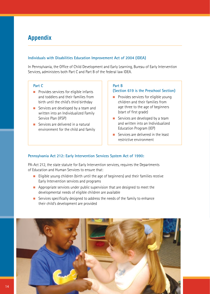# **Appendix**

### **Individuals with Disabilities Education Improvement Act of 2004 (IDEA)**

In Pennsylvania, the Office of Child Development and Early Learning, Bureau of Early Intervention Services, administers both Part C and Part B of the federal law IDEA.

### **Part C**

- $\blacksquare$  Provides services for eligible infants and toddlers and their families from birth until the child's third birthday
- **n** Services are developed by a team and written into an Individualized Family Service Plan (IFSP)
- **n** Services are delivered in a natural environment for the child and family

### **Part B**

### **(Section 619 is the Preschool Section)**

- $\blacksquare$  Provides services for eligible young children and their families from age three to the age of beginners (start of first grade)
- $\blacksquare$  Services are developed by a team and written into an Individualized Education Program (IEP)
- $\blacksquare$  Services are delivered in the least restrictive environment

### **Pennsylvania Act 212: Early Intervention Services System Act of 1990:**

PA-Act 212, the state statute for Early Intervention services, requires the Departments of Education and Human Services to ensure that:

- $\blacksquare$  Eligible young children (birth until the age of beginners) and their families receive Early Intervention services and programs
- $\blacksquare$  Appropriate services under public supervision that are designed to meet the developmental needs of eligible children are available
- $\blacksquare$  Services specifically designed to address the needs of the family to enhance their child's development are provided

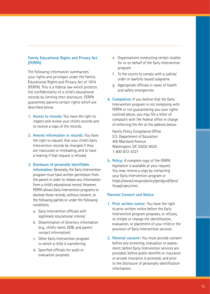### **Family Educational Rights and Privacy Act (FERPA)**

The following information summarizes your rights and privileges under the Family Educational Rights and Privacy Act of 1974 (FERPA). This is a federal law which protects the confidentiality of a child's educational records by limiting their disclosure. FERPA guarantees parents certain rights which are described below.

- **1. Access to records:** You have the right to inspect and review your child's records and to receive a copy of the records.
- **2. Amend information in records:** You have the right to request that your child's Early Intervention records be changed if they are inaccurate or misleading, and to have a hearing if that request is refused.

### **3. Disclosure of personally identifiable**

**information:** Generally, the Early Intervention program must have written permission from the parent in order to release any information from a child's educational record. However, FERPA allows Early Intervention programs to disclose those records, without consent, to the following parties or under the following conditions:

- a. Early Intervention officials with legitimate educational interest
- b. Dissemination of directory information (e.g., child's name, DOB, and parent contact information)
- c. Other Early Intervention program to which a child is transferring
- d. Specified officials for audit or evaluation purposes
- e. Organizations conducting certain studies for or on behalf of the Early Intervention program
- f. To the courts to comply with a judicial order or lawfully issued subpoena
- g. Appropriate officials in cases of health and safety emergencies
- **4. Complaints:** If you believe that the Early Intervention program is not complying with FERPA or not guaranteeing you your rights outlined above, you may file a letter of complaint with the federal office in charge of enforcing the Act at the address below:

 Family Policy Compliance Office U.S. Department of Education 400 Maryland Avenue Washington, DC 20202-8520 1-800-872-5327

**5. Policy:** A complete copy of the FERPA legislation is available at your request. You may receive a copy by contacting your Early Intervention program or https://www2.ed.gov/policy/gen/guid/fpco/ ferpa/index.html.

### **Parental Consent and Notice**

- **1. Prior written notice:** You have the right to prior written notice before the Early Intervention program proposes, or refuses, to initiate or change the identification, evaluation, or placement of your child or the provision of Early Intervention services.
- **2. Parental consent:** You must provide consent before any screening, evaluation or assessment; before Early Intervention services are provided; before public benefits or insurance or private insurance is accessed; and prior to the disclosure of personally identification information.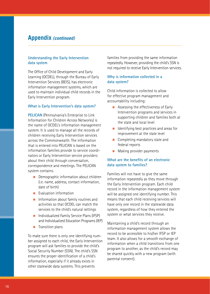### **Appendix** *(continued)*

### **Understanding the Early Intervention data system**

The Office of Child Development and Early Learning (OCDEL), through the Bureau of Early Intervention Services (BEIS), has electronic information management systems, which are used to maintain individual child records in the Early Intervention program.

### **What is Early Intervention's data system?**

**PELICAN** (Pennsylvania's Enterprise to Link Information for Children Across Networks) is the name of OCDEL's information management system. It is used to manage all the records of children receiving Early Intervention services across the Commonwealth. The information that is entered into PELICAN is based on the information families provide to service coordinators or Early Intervention service providers about their child through conversation, correspondence and meetings. The PELICAN system contains:

- **n** Demographic information about children (i.e. name, address, contact information, date of birth)
- **n** Evaluation information
- $\blacksquare$  Information about family routines and activities so that OCDEL can match the services to the child's natural settings
- n Individualized Family Service Plans (IFSP) and Individualized Education Programs (IEP)
- $\blacksquare$  Transition plans

To make sure there is only one identifying number assigned to each child, the Early Intervention program will ask families to provide the child's Social Security Number (SSN). The child's SSN ensures the proper identification of a child's information, especially if it already exists in other statewide data systems. This prevents

families from providing the same information repeatedly. However, providing the child's SSN is not required to receive Early Intervention services.

### **Why is information collected in a data system?**

Child information is collected to allow for effective program management and accountability including:

- $\blacksquare$  Assessing the effectiveness of Early Intervention programs and services in supporting children and families both at the state and local level
- $\blacksquare$  Identifying best practices and areas for improvement at the state level
- **n** Completing mandatory state and federal reports
- $\blacksquare$  Making provider payments

### **What are the benefits of an electronic data system to families?**

Families will not have to give the same information repeatedly as they move through the Early Intervention program. Each child record in the information management system will be assigned one identifying number. This means that each child receiving services will have only one record in the statewide data system, regardless of how they entered the system or what services they receive.

Maintaining a child's record through an information management system allows the record to be accessible to his/her IFSP or IEP team. It also allows for a smooth exchange of information when a child transitions from one program to another, as the child's record may be shared quickly with a new program (with parental consent).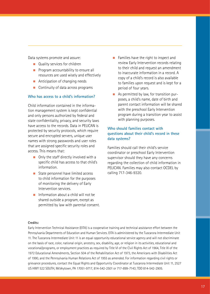Data systems promote and assure:

- **n** Quality services for children
- **n** Program accountability to ensure all resources are used wisely and effectively
- $\blacksquare$  Anticipation of changing needs
- $\blacksquare$  Continuity of data across programs

### **Who has access to a child's information?**

Child information contained in the information management system is kept confidential and only persons authorized by federal and state confidentiality, privacy, and security laws have access to the records. Data in PELICAN is protected by security protocols, which require secure and encrypted servers, unique user names with strong passwords and user roles that are assigned specific security roles and access. This means that:

- $\blacksquare$  Only the staff directly involved with a specific child has access to that child's information.
- State personnel have limited access to child information for the purposes of monitoring the delivery of Early Intervention services.
- $\blacksquare$  Information about a child will not be shared outside a program, except as permitted by law with parental consent.
- $\blacksquare$  Families have the right to inspect and review Early Intervention records relating to their child and request an amendment to inaccurate information in a record. A copy of a child's record is also available to families upon request and is kept for a period of four years.
- As permitted by law, for transition purposes, a child's name, date of birth and parent contact information will be shared with the preschool Early Intervention program during a transition year to assist with planning purposes.

### **Who should families contact with questions about their child's record in these data systems?**

Families should call their child's service coordinator or preschool Early Intervention supervisor should they have any concerns regarding the collection of child information in PELICAN. Families may also contact OCDEL by calling 717-346-9320.

### **Credits:**

Early Intervention Technical Assistance (EITA) is a cooperative training and technical assistance effort between the Pennsylvania Departments of Education and Human Services. EITA is administered by the Tuscarora Intermediate Unit 11. The Tuscarora Intermediate Unit 11 is an equal opportunity educational service agency and will not discriminate on the basis of race, color, national origin, ancestry, sex, disability, age, or religion in its activities, educational and vocational/programs, or employment practices as required by Title VI of the Civil Rights Act of 1964, Title IX of the 1972 Educational Amendments, Section 504 of the Rehabilitation Act of 1973, the Americans with Disabilities Act of 1990, and the Pennsylvania Human Relations Act of 1955 as amended. For information regarding civil rights or grievance procedures, contact the Equal Rights and Opportunity Coordinator at Tuscarora Intermediate Unit 11, 2527 US HWY 522 SOUTH, McVeytown, PA 17051-9717, 814-542-2501 or 717-899-7143; TDD 814-542-2905.